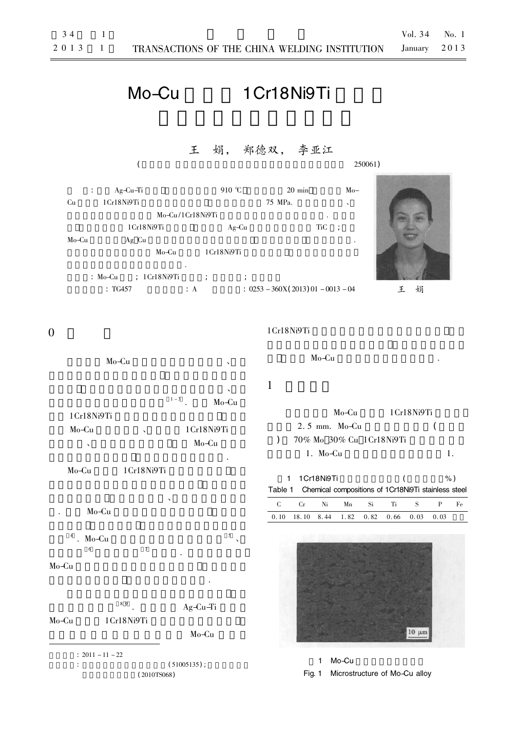# Mo-Cu 1 Cr18Ni9Ti

# 王 娟, 郑德双, 李亚江

 $($  250061) : Ag-Cu-Ti  $910 °C$  20 min Mo-

 $Cu$  1 Cr18Ni9Ti  $75 \text{ MPa}$ .  $Mo-Cu/1Cr18Ni9Ti$ 1Cr18Ni9Ti  $Ag-Cu$  TiC ; Mo-Cu Ag Cu Mo-Cu 1Cr18Ni9Ti

剪切断口呈现剪切韧窝的形貌特征.  $\therefore$  Mo-Cu  $\therefore$  1Cr18Ni9Ti  $\therefore$ : TG457  $\therefore$  A  $\therefore$  0253 - 360X(2013) 01 - 0013 - 04 王 娟



### 0

 $Mo-Cu$ 

 $\Delta$  $1 - 3$  . Mo-Cu  $1Cr18Ni9Ti$  $Mo-Cu$  and  $1Cr18Ni9Ti$ 

 $\sim$  Mo-Cu 高温氧化能力的不足 提高结构件的整体性能. Mo-Cu  $1Cr18Ni9Ti$ 

生很大的应力 增加裂纹倾向、降低焊缝的力学性 . Mo-Cu

 $4 \cdot \text{Mo-Cu}$  5  $\sim$  $\frac{1}{6}$  7  $\frac{1}{6}$  6  $\frac{1}{6}$  7  $\frac{1}{6}$   $\frac{1}{6}$   $\frac{1}{6}$   $\frac{1}{6}$   $\frac{1}{6}$   $\frac{1}{6}$   $\frac{1}{6}$   $\frac{1}{6}$   $\frac{1}{6}$   $\frac{1}{6}$   $\frac{1}{6}$   $\frac{1}{6}$   $\frac{1}{6}$   $\frac{1}{6}$   $\frac{1}{6}$   $\frac{1}{6}$   $\frac{1}{6}$   $\frac{1}{6}$   $\frac{1$ 

## Mo-Cu

氧和氮的有害作用 避免焊接裂纹的产生.  $89$ .  $Ag-Cu-Ti$ Mo-Cu  $1Cr18Ni9Ti$ Mo-Cu

 $: 2011 - 11 - 22$  $\frac{1}{2}$  (51005135);  $(2010T<sub>S</sub>068)$ 

#### 1 Cr18 Ni9Ti

 $Mo-Cu$ 

# $1$

Mo-Cu  $1Cr18Ni9Ti$  $2.5 \text{ mm}$ . Mo-Cu  $($ ) 70% Mo 30% Cu 1 Cr18 Ni9 Ti  $1. \text{Mo-Cu}$   $1.$ 

1 1 Cr18 Ni9Ti ( %) Table 1 Chemical compositions of 1Cr18Ni9Ti stainless steel C Cr Ni Mn Si Ti S P Fe  $0. 10$  18. 10 8. 44 1. 82 0. 82 0. 66 0. 03 0. 03



1 Mo-Cu

Fig. 1 Microstructure of Mo-Cu alloy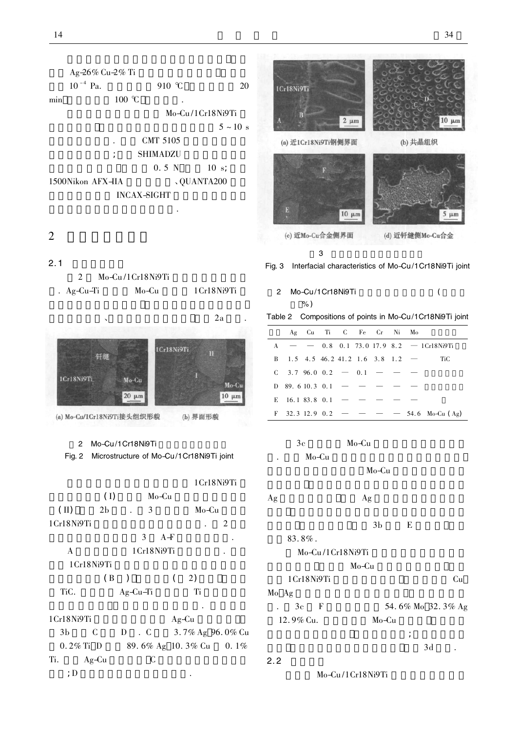Ag-26% Cu-2% Ti  $10^{-4}$  Pa.  $910$  °C 20 min  $100 \text{ °C}$ Mo-Cu/1Cr18Ni9Ti  $5 \sim 10 \text{ s}$ CMT 5105  $\colon$  SHIMADZU  $0.5 N$  10 s; 1500Nikon AFX-IIA <br>
QUANTA200 INCAX-SIGHT 头区的微观组织形貌和断口特征.

## $2\,$

#### $2.1$

|            | $Mo-Cu/1Cr18Ni9Ti$ |               |
|------------|--------------------|---------------|
| . Ag-Cu-Ti | Mo-Cu              | 1 Cr18 Ni9 Ti |





(a) Mo-Cu/1Cr18Ni9Ti接头组织形貌

#### 2 Mo-Cu/1Cr18Ni9Ti

Fig. 2 Microstructure of Mo-Cu/1Cr18Ni9Ti joint

|                                            |                |               |   |            |       | 1Cr18Ni9Ti |  |
|--------------------------------------------|----------------|---------------|---|------------|-------|------------|--|
|                                            | (I)            |               |   | Mo-Cu      |       |            |  |
| $(\text{II})$                              | 2 <sub>b</sub> |               | 3 |            | Mo−Cu |            |  |
| 1Cr18Ni9Ti                                 |                |               |   |            |       | 2          |  |
|                                            |                | 3             |   | $A-F$      |       |            |  |
| A                                          |                |               |   | 1Cr18Ni9Ti |       | ٠          |  |
| 1 Cr18 Ni9 Ti                              |                |               |   |            |       |            |  |
|                                            | (B             | $\rightarrow$ |   | (          | 2)    |            |  |
| TiC.                                       |                | Ag-Cu-Ti      |   |            | Ti    |            |  |
|                                            |                |               |   |            |       |            |  |
| $10.10$ $N$ $^{\circ}$ $\Omega$ $^{\circ}$ |                |               |   | $\sqrt{ }$ |       |            |  |

# 1Cr18Ni9Ti Ag-Cu 3b C D . C 3. 7% Ag 96. 0% Cu 0. 2% Ti D  $89.6\%$  Ag 10. 3% Cu 0. 1% Ti.  $Ag-Cu$  C

 $\therefore$  D



(c) 近Mo-Cu合金侧界面

3 钎缝与母材界面的微观形貌 Fig. 3 Interfacial characteristics of Mo-Cu/1Cr18Ni9Ti joint

2 Mo-Cu/1Cr18Ni9Ti ( %)

Table 2 Compositions of points in Mo-Cu/1Cr18Ni9Ti joint

|                                     |  |  | Ag Cu Ti C Fe Cr Ni Mo |                                             |
|-------------------------------------|--|--|------------------------|---------------------------------------------|
|                                     |  |  |                        | $A = -0.8$ 0.1 73.0 17.9 8.2 - 1 Cr18 Ni9Ti |
| B 1.5 4.5 46.2 41.2 1.6 3.8 1.2 $-$ |  |  |                        | - TiC                                       |
| $C = 3.796.0$ $0.2 - 0.1 - - -$     |  |  |                        |                                             |
| $D$ 89.610.3 0.1 - - - -            |  |  |                        |                                             |
| E 16.1 83.8 0.1 - - - - -           |  |  |                        |                                             |
|                                     |  |  |                        | F 32.3 12.9 0.2 – – – 54.6 Mo-Cu (Ag)       |

|   | 3c    | Mo-Cu |  |
|---|-------|-------|--|
| ٠ | Mo-Cu |       |  |

Mo-Cu

```
Ag ag Ag
```

|                   |                    | 3b    | E |    |
|-------------------|--------------------|-------|---|----|
|                   | $83.8\%$ .         |       |   |    |
|                   | $Mo-Cu/1Cr18Ni9Ti$ |       |   |    |
|                   |                    | Mo−Cu |   |    |
|                   | 1Cr18Ni9Ti         |       |   | Cп |
| <b>B</b> <i>B</i> |                    |       |   |    |

Mo Ag .  $3c$  F  $54.6\%$  Mo  $32.3\%$  Ag  $12.9\%$  Cu. Mo-Cu

 $\mathcal{A}^{\text{R}}$  and  $\mathcal{A}^{\text{R}}$  and  $\mathcal{A}^{\text{R}}$  and  $\mathcal{A}^{\text{R}}$  and  $\mathcal{A}^{\text{R}}$  $3d$  .

 $2.2$ 

Mo-Cu/1Cr18Ni9Ti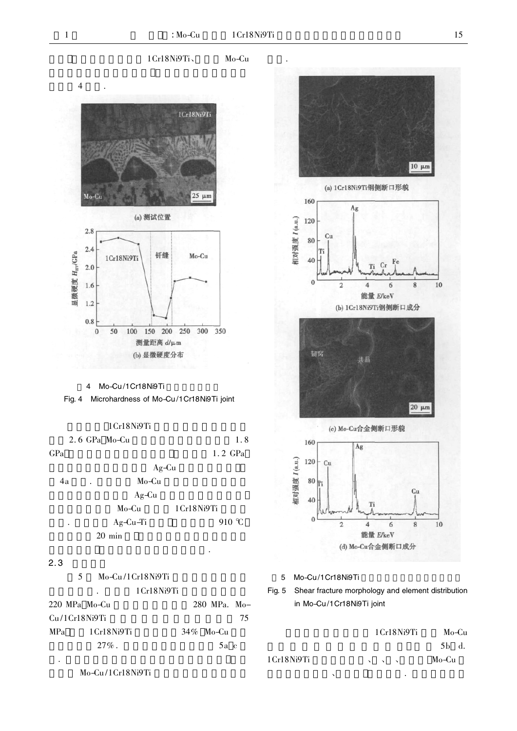特征.

1Cr18Ni9Ti、
Mo-Cu

 $10 \mu m$ 

8

 $20 \mu m$ 

 $Cu$ 

8

6

10

10

(a) 1Cr18Ni9Ti钢侧断口形貌

 $C_{\rm F}$ Ti

6

Ag



4 Mo-Cu/1Cr18Ni9Ti

Fig. 4 Microhardness of Mo-Cu/1Cr18Ni9Ti joint

1Cr18Ni9Ti

|     | 2.6 GPa Mo-Cu                 | 1.8               |
|-----|-------------------------------|-------------------|
| GPa |                               | $1.2 \text{ GPa}$ |
|     |                               | $Ag-Cu$           |
| 4a  | Mo-Cu<br>$\ddot{\phantom{0}}$ |                   |
|     | $Ag-Cu$                       |                   |
|     | Mo-Cu                         | 1 Cr18 Ni9 Ti     |
| ٠   | Ag-Cu-Ti                      | 910 $\degree$ C   |
|     | $20 \text{ min}$              |                   |
|     |                               | ٠                 |

#### $2.3$

5 Mo-Cu/1Cr18Ni9Ti 1 Cr18 Ni9Ti  $220$  MPa Mo-Cu  $280$  MPa. Mo- $Cu/ICr18Ni9Ti$   $75$  $MPa$  1 Cr18Ni9Ti 34% Mo-Cu  $27\%$ . 5a c . 可见断口呈现明显的剪切韧窝形貌特征 因此



160

120

80

40

 $\mathbf{0}$ 

 $Cu$ 

Ti

相对强度 I (a.u.)

5 Mo-Cu/1Cr18Ni9Ti



|            | 1 Cr18 Ni9 Ti                          | Mo-Cu |
|------------|----------------------------------------|-------|
|            |                                        | 5b d. |
| 1Cr18Ni9Ti | $\mathbf{v} = \mathbf{v} - \mathbf{v}$ | Mo-Cu |
|            | ٠                                      |       |

Mo-Cu/1Cr18Ni9Ti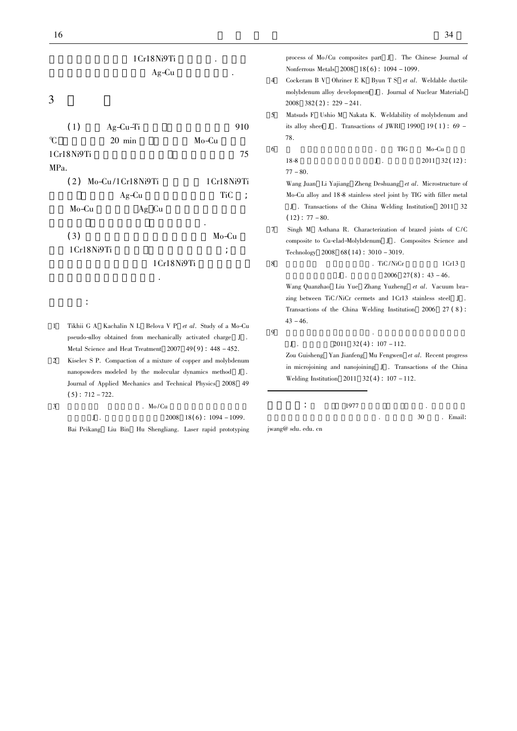|                   | 1Cr18Ni9Ti                |                                    |
|-------------------|---------------------------|------------------------------------|
|                   | $Ag-Cu$                   |                                    |
| 3                 |                           |                                    |
| (1)               | $Ag-Cu-Ti$                | 910                                |
| $\mathcal{C}$     | $20$ min                  | Mo-Cu                              |
| 1Cr18Ni9Ti        |                           | 75                                 |
| MP <sub>a</sub> . |                           |                                    |
|                   | $(2)$ Mo-Cu/1 Cr18 Ni9 Ti | 1 Cr18 Ni9 Ti                      |
|                   | $Ag-Cu$                   | <b>TiC</b><br>$\ddot{\phantom{0}}$ |
|                   | Mo-Cu<br>Ag Cu            |                                    |
| (3)               |                           | Mo-Cu                              |

1Cr18Ni9Ti 1Cr18Ni9Ti 断口呈现剪切塑性断裂特征.

- 参考文献:
- 1 Tikhii G A Kachalin N L Belova V P et al. Study of a Mo-Cu pseudo-alloy obtained from mechanically activated charge J . Metal Science and Heat Treatment 2007 49( 9) : 448 - 452.
- 2 Kiselev S P. Compaction of a mixture of copper and molybdenum nanopowders modeled by the molecular dynamics method J . Journal of Applied Mechanics and Technical Physics 2008 49  $(5)$ : 712 - 722.

3 白培康 胡胜亮. Mo /Cu 复合材料构件激光快速成  $J$  .  $2008$   $18(6)$  :  $1094 - 1099$ . Bai Peikang Liu Bin Hu Shengliang. Laser rapid prototyping

 $16$  34

process of Mo /Cu composites part J . The Chinese Journal of Nonferrous Metals 2008 18( 6) : 1094 - 1099. 4 Cockeram B V Ohriner E K Byun T S et al. Weldable ductile

- molybdenum alloy development J . Journal of Nuclear Materials  $2008$   $382(2)$ :  $229 - 241$ .
- 5 Matsuds F Ushio M Nakata K. Weldability of molybdenum and its alloy sheet J. Transactions of JWRI 1990 19(1):  $69 -$ 78.
- $6$  . TIG Mo-Cu  $18-8$   $J \t2011 \t32(12)$ :  $77 - 80.$

Wang Juan Li Yajiang Zheng Deshuang et al. Microstructure of Mo-Cu alloy and 18-8 stainless steel joint by TIG with filler metal J . Transactions of the China Welding Institution 2011 32  $(12): 77 - 80.$ 

- 7 Singh M Asthana R. Characterization of brazed joints of C /C composite to Cu-clad-Molybdenum J . Composites Science and Technology 2008 68( 14) : 3010 - 3019.
- $8 \t\t \text{TiC/NiCr} \t\t 1 \text{Cr13}$  $J \t2006 \t27(8) : 43 - 46.$

Wang Quanzhao Liu Yue Zhang Yuzheng et al. Vacuum brazing between TiC /NiCr cermets and 1Cr13 stainless steel J . Transactions of the China Welding Institution 2006 27 ( 8 ) :  $43 - 46.$ 

9  $\blacksquare$ 

 $J$  .  $2011$   $32(4)$  :  $107 - 112$ .

Zou Guisheng Yan Jianfeng Mu Fengwen et al. Recent progress in microjoining and nanojoining J . Transactions of the China Welding Institution  $2011 \quad 32(4) : 107 - 112$ .

 $\frac{1977}{1977}$ 

 $30$  . Email:

jwang@ sdu. edu. cn